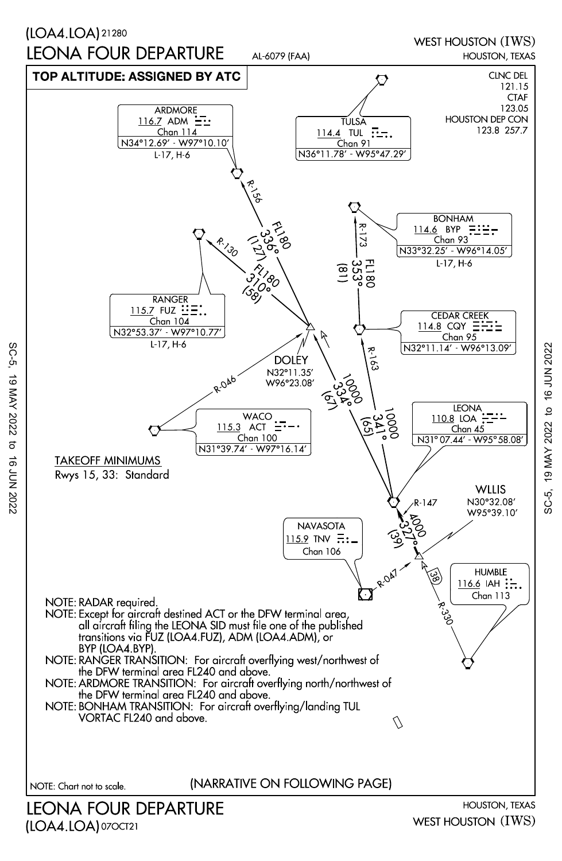

SC-5, 19 MAY 2022 to 16 JUN 202219 MAY 2022 to 16 JUN 2022 SC-5,

WEST HOUSTON (IWS)

(LOA4.LOA) 07OCT21

SC-5, 19 MAY 2022 to 16 JUN 2022

 $\sigma$  $\vec{a}$ 7202 NOC

19 MAY 2022

SC-5,